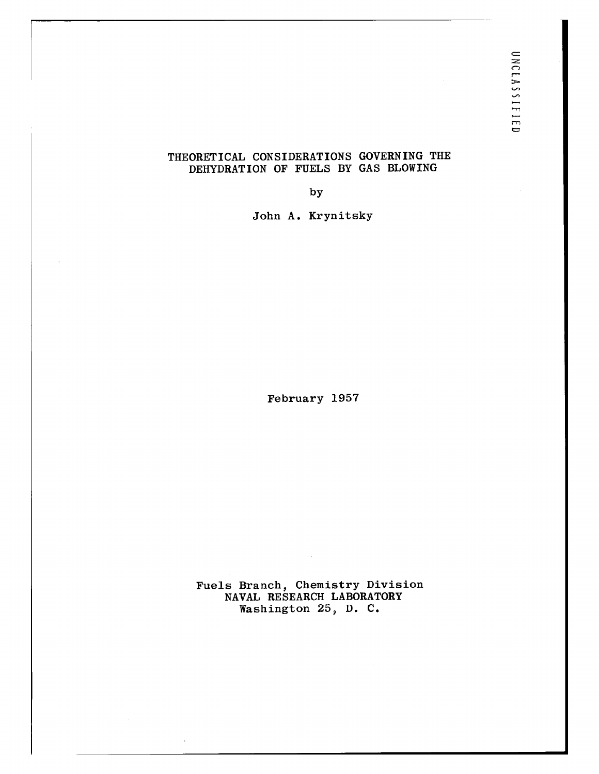## THEORETICAL CONSIDERATIONS GOVERNING THE DEHYDRATION OF FUELS BY GAS BLOWING

by

John A. Krynitsky

February 1957

Fuels Branch, Chemistry Division NAVAL RESEARCH LABORATORY Washington 25, D. C.

 $\sim$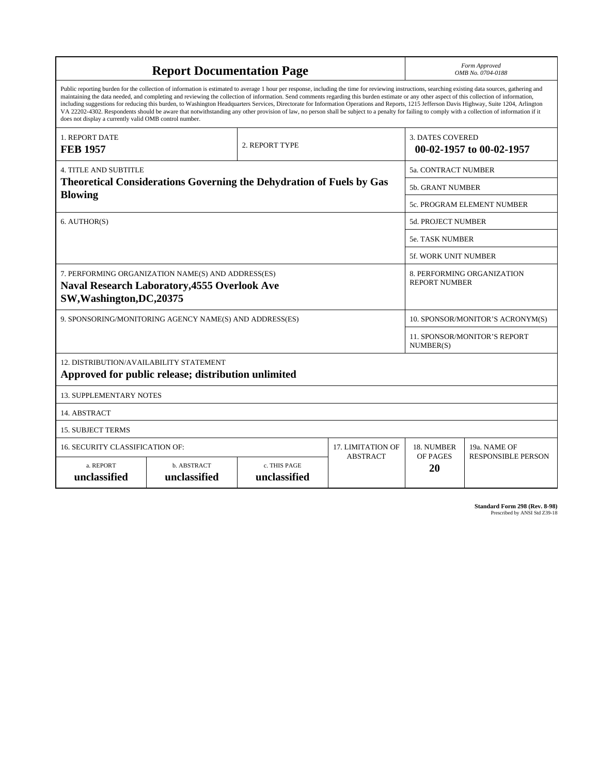| <b>Report Documentation Page</b>                                                                                                                                                                                                                                                                                                                                                                                                                                                                                                                                                                                                                                                                                                                                                                                                                                   |                                                                             |                                                  |                 |                                                    | Form Approved<br>OMB No. 0704-0188 |  |
|--------------------------------------------------------------------------------------------------------------------------------------------------------------------------------------------------------------------------------------------------------------------------------------------------------------------------------------------------------------------------------------------------------------------------------------------------------------------------------------------------------------------------------------------------------------------------------------------------------------------------------------------------------------------------------------------------------------------------------------------------------------------------------------------------------------------------------------------------------------------|-----------------------------------------------------------------------------|--------------------------------------------------|-----------------|----------------------------------------------------|------------------------------------|--|
| Public reporting burden for the collection of information is estimated to average 1 hour per response, including the time for reviewing instructions, searching existing data sources, gathering and<br>maintaining the data needed, and completing and reviewing the collection of information. Send comments regarding this burden estimate or any other aspect of this collection of information,<br>including suggestions for reducing this burden, to Washington Headquarters Services, Directorate for Information Operations and Reports, 1215 Jefferson Davis Highway, Suite 1204, Arlington<br>VA 22202-4302. Respondents should be aware that notwithstanding any other provision of law, no person shall be subject to a penalty for failing to comply with a collection of information if it<br>does not display a currently valid OMB control number. |                                                                             |                                                  |                 |                                                    |                                    |  |
| <b>1. REPORT DATE</b><br><b>FEB 1957</b>                                                                                                                                                                                                                                                                                                                                                                                                                                                                                                                                                                                                                                                                                                                                                                                                                           |                                                                             | 2. REPORT TYPE                                   |                 | <b>3. DATES COVERED</b>                            | 00-02-1957 to 00-02-1957           |  |
| <b>4. TITLE AND SUBTITLE</b>                                                                                                                                                                                                                                                                                                                                                                                                                                                                                                                                                                                                                                                                                                                                                                                                                                       |                                                                             | 5a. CONTRACT NUMBER                              |                 |                                                    |                                    |  |
|                                                                                                                                                                                                                                                                                                                                                                                                                                                                                                                                                                                                                                                                                                                                                                                                                                                                    | <b>Theoretical Considerations Governing the Dehydration of Fuels by Gas</b> | <b>5b. GRANT NUMBER</b>                          |                 |                                                    |                                    |  |
| <b>Blowing</b>                                                                                                                                                                                                                                                                                                                                                                                                                                                                                                                                                                                                                                                                                                                                                                                                                                                     |                                                                             |                                                  |                 | 5c. PROGRAM ELEMENT NUMBER                         |                                    |  |
| 6. AUTHOR(S)                                                                                                                                                                                                                                                                                                                                                                                                                                                                                                                                                                                                                                                                                                                                                                                                                                                       |                                                                             |                                                  |                 | <b>5d. PROJECT NUMBER</b>                          |                                    |  |
|                                                                                                                                                                                                                                                                                                                                                                                                                                                                                                                                                                                                                                                                                                                                                                                                                                                                    |                                                                             |                                                  |                 | <b>5e. TASK NUMBER</b>                             |                                    |  |
|                                                                                                                                                                                                                                                                                                                                                                                                                                                                                                                                                                                                                                                                                                                                                                                                                                                                    |                                                                             |                                                  |                 | 5f. WORK UNIT NUMBER                               |                                    |  |
| 7. PERFORMING ORGANIZATION NAME(S) AND ADDRESS(ES)<br><b>Naval Research Laboratory, 4555 Overlook Ave</b><br>SW, Washington, DC, 20375                                                                                                                                                                                                                                                                                                                                                                                                                                                                                                                                                                                                                                                                                                                             |                                                                             |                                                  |                 | 8. PERFORMING ORGANIZATION<br><b>REPORT NUMBER</b> |                                    |  |
| 9. SPONSORING/MONITORING AGENCY NAME(S) AND ADDRESS(ES)                                                                                                                                                                                                                                                                                                                                                                                                                                                                                                                                                                                                                                                                                                                                                                                                            |                                                                             |                                                  |                 | 10. SPONSOR/MONITOR'S ACRONYM(S)                   |                                    |  |
|                                                                                                                                                                                                                                                                                                                                                                                                                                                                                                                                                                                                                                                                                                                                                                                                                                                                    |                                                                             | <b>11. SPONSOR/MONITOR'S REPORT</b><br>NUMBER(S) |                 |                                                    |                                    |  |
| 12. DISTRIBUTION/AVAILABILITY STATEMENT<br>Approved for public release; distribution unlimited                                                                                                                                                                                                                                                                                                                                                                                                                                                                                                                                                                                                                                                                                                                                                                     |                                                                             |                                                  |                 |                                                    |                                    |  |
| <b>13. SUPPLEMENTARY NOTES</b>                                                                                                                                                                                                                                                                                                                                                                                                                                                                                                                                                                                                                                                                                                                                                                                                                                     |                                                                             |                                                  |                 |                                                    |                                    |  |
| 14. ABSTRACT                                                                                                                                                                                                                                                                                                                                                                                                                                                                                                                                                                                                                                                                                                                                                                                                                                                       |                                                                             |                                                  |                 |                                                    |                                    |  |
| <b>15. SUBJECT TERMS</b>                                                                                                                                                                                                                                                                                                                                                                                                                                                                                                                                                                                                                                                                                                                                                                                                                                           |                                                                             |                                                  |                 |                                                    |                                    |  |
| 16. SECURITY CLASSIFICATION OF:                                                                                                                                                                                                                                                                                                                                                                                                                                                                                                                                                                                                                                                                                                                                                                                                                                    | 17. LIMITATION OF                                                           | 18. NUMBER                                       | 19a. NAME OF    |                                                    |                                    |  |
| a. REPORT<br>unclassified                                                                                                                                                                                                                                                                                                                                                                                                                                                                                                                                                                                                                                                                                                                                                                                                                                          | b. ABSTRACT<br>unclassified                                                 | c. THIS PAGE<br>unclassified                     | <b>ABSTRACT</b> | OF PAGES<br>20                                     | <b>RESPONSIBLE PERSON</b>          |  |

**Standard Form 298 (Rev. 8-98)**<br>Prescribed by ANSI Std Z39-18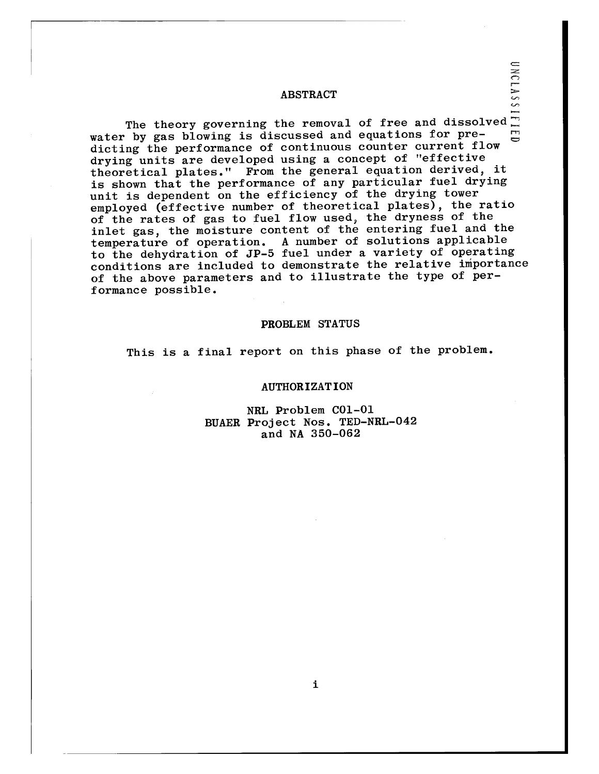### ABSTRACT

The theory governing the removal of free and dissolved-: water by gas blowing is discussed and equations for predicting the performance of continuous counter current flow drying units are developed using a concept of "effective theoretical plates." From the general equation derived, it is shown that the performance of any particular fuel drying unit is dependent on the efficiency of the drying tower employed (effective number of theoretical plates), the ratio of the rates of gas to fuel flow used, the dryness of the inlet gas, the moisture content of the entering fuel and the temperature of operation. A number of solutions applicable to the dehydration of JP-5 fuel under a variety of operating conditions are included to demonstrate the relative importance of the above parameters and to illustrate the type of performance possible.

#### PROBLEM STATUS

This is a final report on this phase of the problem.

## AUTHORIZATION

NRL Problem C01-01 BUAER Project Nos. TED-NRL-042 and NA 350-062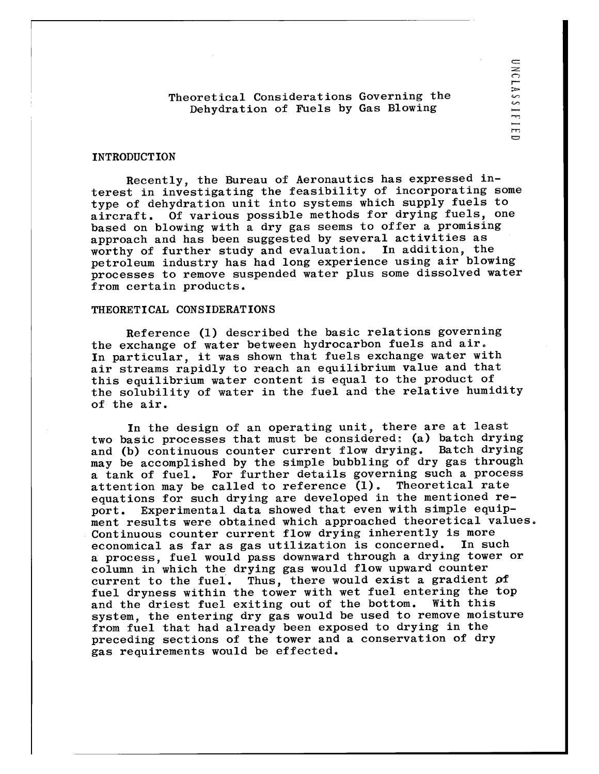Theoretical Considerations Governing the Dehydration of Fuels by Gas Blowing

#### INTRODUCTION

Recently, the Bureau of Aeronautics has expressed interest in investigating the feasibility of incorporating some type of dehydration unit into systems which supply fuels to aircraft. Of various possible methods for drying fuels, one based on blowing with a dry gas seems to offer a promising approach and has been suggested by several activities as<br>worthy of further study and evaluation. In addition, the worthy of further study and evaluation. petroleum industry has had long experience using air blowing processes to remove suspended water plus some dissolved water from certain products.

#### THEORETICAL CONSIDERATIONS

Reference (1) described the basic relations governing the exchange of water between hydrocarbon fuels and air. In particular, it was shown that fuels exchange water with air streams rapidly to reach an equilibrium value and that this equilibrium water content is equal to the product of the solubility of water in the fuel and the relative humidity of the air.

In the design of an operating unit, there are at least two basic processes that must be considered: (a) batch drying<br>and (b) continuous counter current flow drying. Batch drying and (b) continuous counter current flow drying. may be accomplished by the simple bubbling of dry gas through a tank of fuel. For further details governing such a process<br>attention may be called to reference (1). Theoretical rate attention may be called to reference  $(1)$ . equations for such drying are developed in the mentioned report. Experimental data showed that even with simple equipment results were obtained which approached theoretical values. Continuous counter current flow drying inherently is more<br>economical as far as gas utilization is concerned. In such economical as far as gas utilization is concerned. a process, fuel would pass downward through a drying tower or column in which the drying gas would flow upward counter<br>current to the fuel. Thus, there would exist a gradient Thus, there would exist a gradient of fuel dryness within the tower with wet fuel entering the top<br>and the driest fuel exiting out of the bottom. With this and the driest fuel exiting out of the bottom. system, the entering dry gas would be used to remove moisture from fuel that had already been exposed to drying in the preceding sections of the tower and a conservation of dry gas requirements would be effected.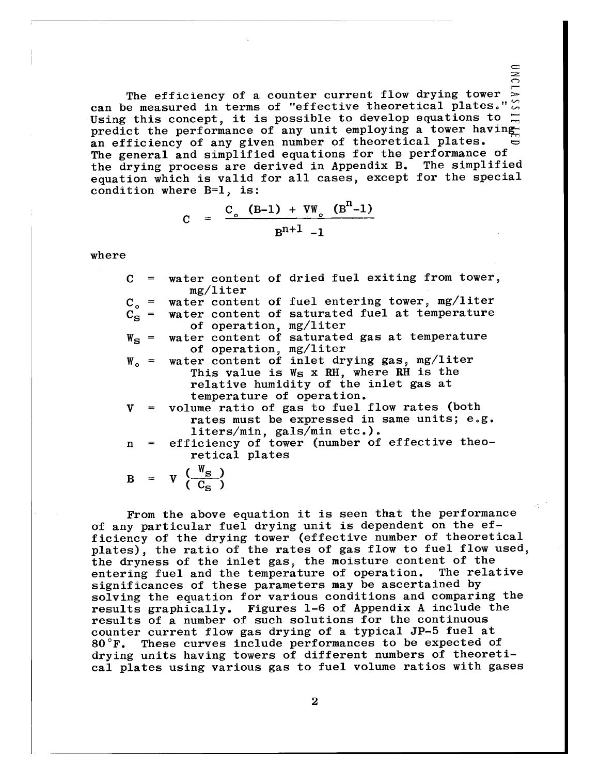The efficiency of a counter current flow drying tower can be measured in terms of "effective theoretical plates." Using this concept, it is possible to develop equations to  $\Box$ predict the performance of any unit employing a tower having an efficiency of any given number of theoretical plates. The general and simplified equations for the performance of the drying process are derived in Appendix B. The simplified equation which is valid for all cases, except for the special condition where B=1, is:

 $\overline{\mathcal{E}}$ 

$$
C = \frac{C_o (B-1) + VW_o (Bn-1)}{Bn+1 - 1}
$$

where

| $C =$ | water content of dried fuel exiting from tower,                                                                  |  |  |  |  |
|-------|------------------------------------------------------------------------------------------------------------------|--|--|--|--|
|       | mg/liter                                                                                                         |  |  |  |  |
|       | $C_o$ = water content of fuel entering tower, mg/liter<br>$C_S$ = water content of saturated fuel at temperature |  |  |  |  |
|       |                                                                                                                  |  |  |  |  |
|       | of operation, mg/liter                                                                                           |  |  |  |  |
|       | $W_{S}$ = water content of saturated gas at temperature                                                          |  |  |  |  |
|       | of operation, mg/liter                                                                                           |  |  |  |  |
|       | $W_0$ = water content of inlet drying gas, mg/liter                                                              |  |  |  |  |
|       | This value is W <sub>S</sub> x RH, where RH is the                                                               |  |  |  |  |
|       | relative humidity of the inlet gas at                                                                            |  |  |  |  |
|       | temperature of operation.                                                                                        |  |  |  |  |
|       | $V =$ volume ratio of gas to fuel flow rates (both                                                               |  |  |  |  |
|       | rates must be expressed in same units; e.g.                                                                      |  |  |  |  |
|       | liters/min, gals/min etc.).                                                                                      |  |  |  |  |
|       | n = efficiency of tower (number of effective theo-                                                               |  |  |  |  |
|       | retical plates                                                                                                   |  |  |  |  |
|       |                                                                                                                  |  |  |  |  |
|       | $B = V \frac{W_S}{C_S}$                                                                                          |  |  |  |  |
|       |                                                                                                                  |  |  |  |  |

From the above equation it is seen that the performance of any particular fuel drying unit is dependent on the efficiency of the drying tower (effective number of theoretical plates), the ratio of the rates of gas flow to fuel flow used, the dryness of the inlet gas, the moisture content of the<br>entering fuel and the temperature of operation. The relative entering fuel and the temperature of operation. significances of these parameters may be ascertained by solving the equation for various conditions and comparing the results graphically. Figures 1-6 of Appendix A include the results of a number of such solutions for the continuous counter current flow gas drying of a typical JP-5 fuel at  $80^{\circ}$ F. These curves include performances to be expected or These curves include performances to be expected of drying units having towers of different numbers of theoretical plates using various gas to fuel volume ratios with gases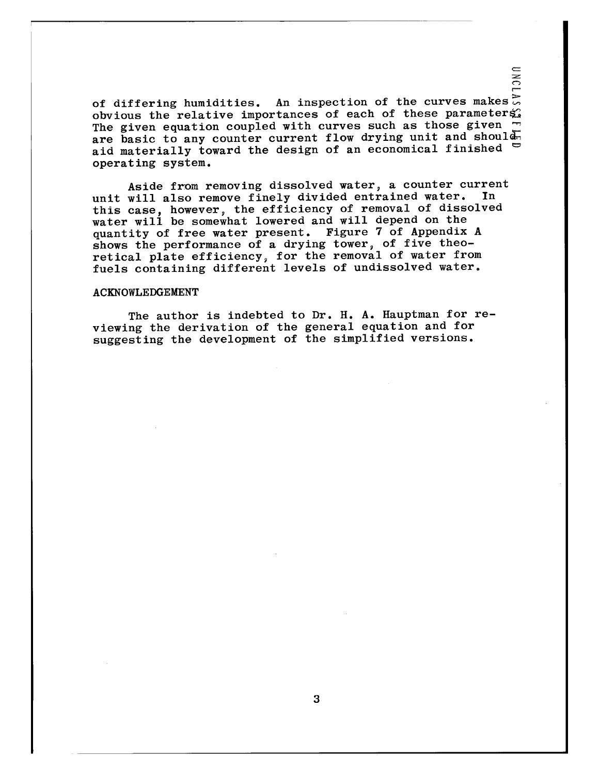of differing humidities. An inspection of the curves makes  $\mathbb{R}$ obvious the relative importances of each of these parameters. The given equation coupled with curves such as those given are basic to any counter current flow drying unit and should aid materially toward the design of an economical finished  $\Box$ operating system.

 $\frac{1}{2}$ 

Aside from removing dissolved water, a counter current<br>will also remove finely divided entrained water. In unit will also remove finely divided entrained water. this case, however, the efficiency of removal of dissolved water will be somewhat lowered and will depend on the quantity of free water present. Figure 7 of Appendix A shows the performance of a drying tower, of five theoretical plate efficiency, for the removal of water from fuels containing different levels of undissolved water.

#### ACKNOWLEDGEMENT

The author is indebted to Dr. H. A. Hauptman for reviewing the derivation of the general equation and for suggesting the development of the simplified versions.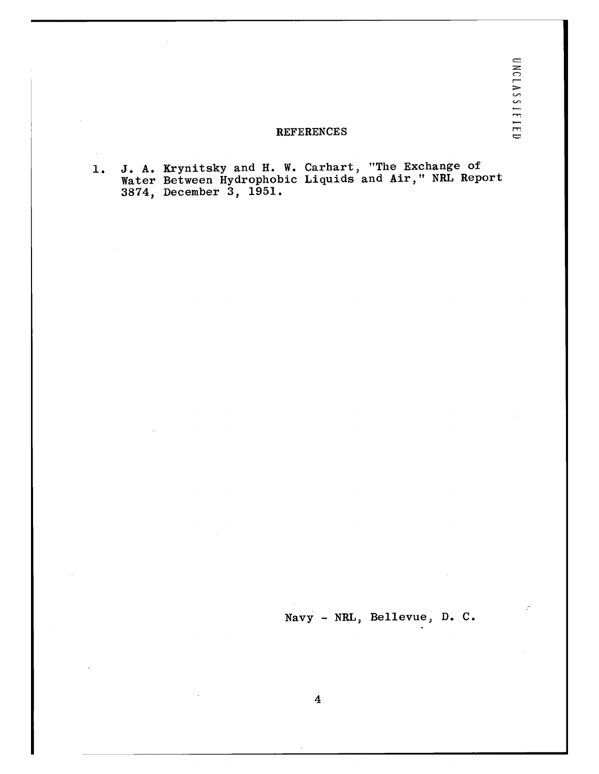## REFERENCES

1. J. A. Krynitsky and H. W. Carhart, "The Exchange of Water Between Hydrophobic Liquids and Air," NRL Report 3874, December 3, 1951.

 $\mathcal{L}_{\mathcal{A}}$ 

Navy - NRL, Bellevue, D. C.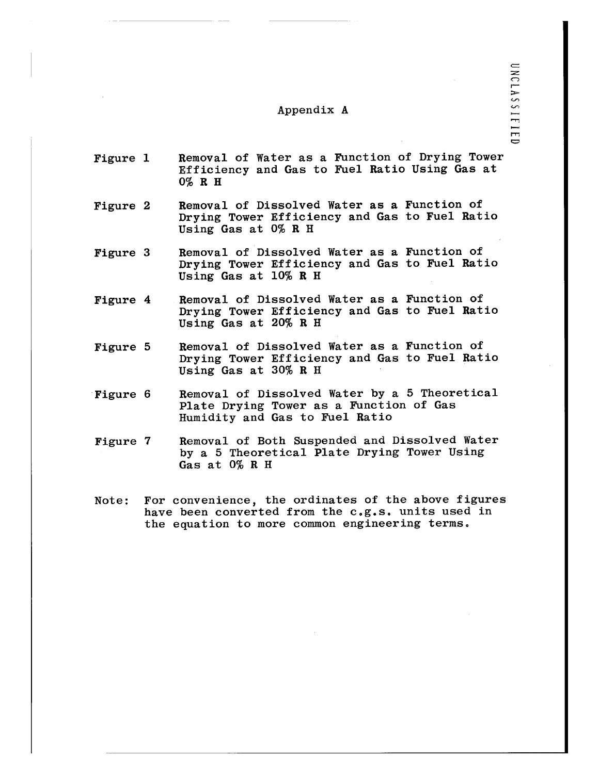## Appendix A

- Figure 1 Removal of Water as a Function of Drying Tower Efficiency and Gas to Fuel Ratio Using Gas at 0% R H
- Figure 2 Removal of Dissolved Water as a Function of Drying Tower Efficiency and Gas to Fuel Ratio Using Gas at 0% R H
- Figure 3 Removal of Dissolved Water as a Function of Drying Tower Efficiency and Gas to Fuel Ratio Using Gas at 10% R H
- Figure 4 Removal of Dissolved Water as a Function of Drying Tower Efficiency and Gas to Fuel Ratio Using Gas at 20% R H
- Figure 5 Removal of Dissolved Water as a Function of Drying Tower Efficiency and Gas to Fuel Ratio Using Gas at 30% R H
- Figure 6 Removal of Dissolved Water by a 5 Theoretical Plate Drying Tower as a Function of Gas Humidity and Gas to Fuel Ratio
- Figure 7 Removal of Both Suspended and Dissolved Water by a 5 Theoretical Plate Drying Tower Using Gas at 0% R H
- Note: have been converted from the c.g.s. units used in the equation to more common engineering terms.For convenience, the ordinates of the above figures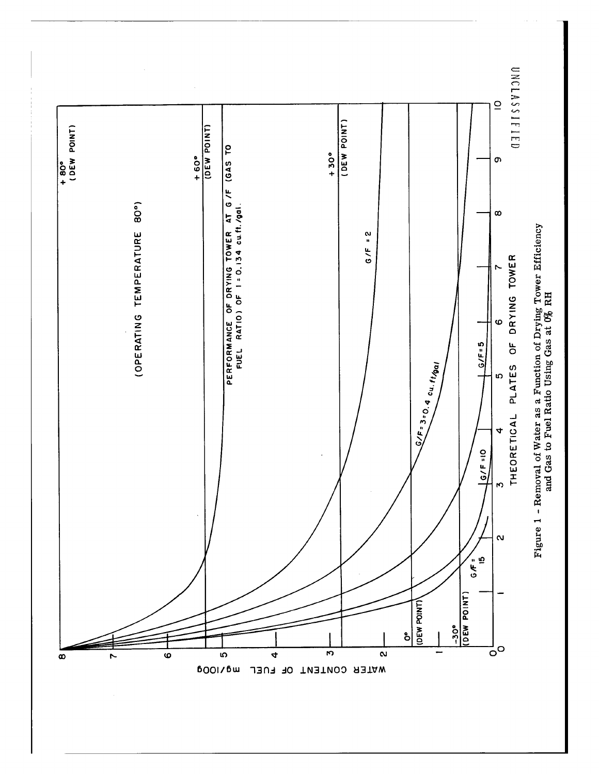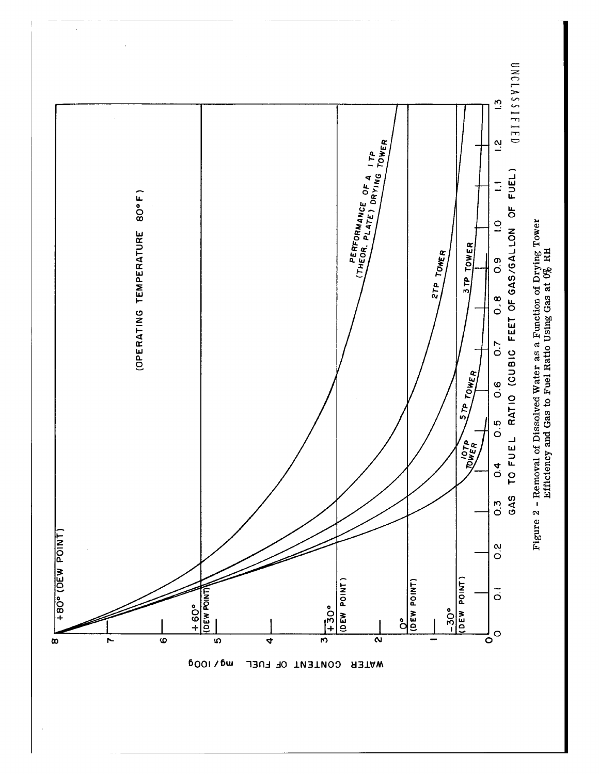

 $\hat{\mathcal{L}}$ 

WATER CONTENT OF FUEL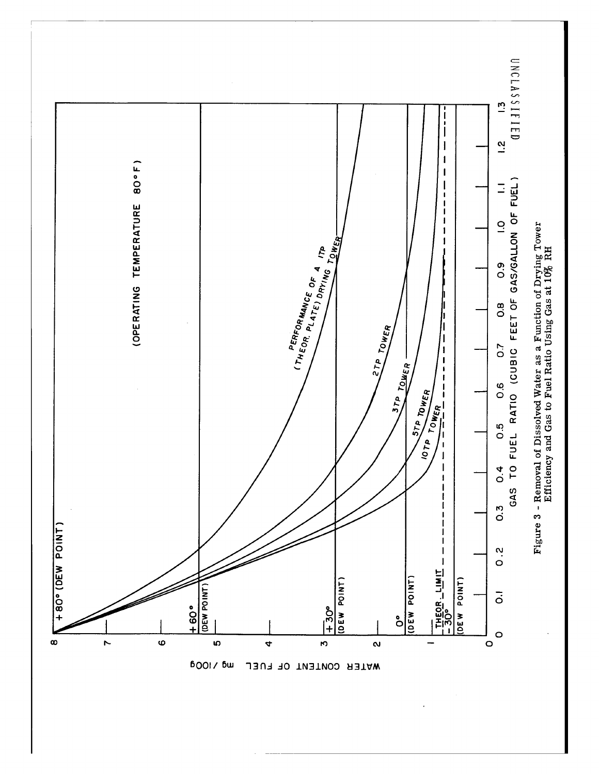

WATER CONTENT OF FUEL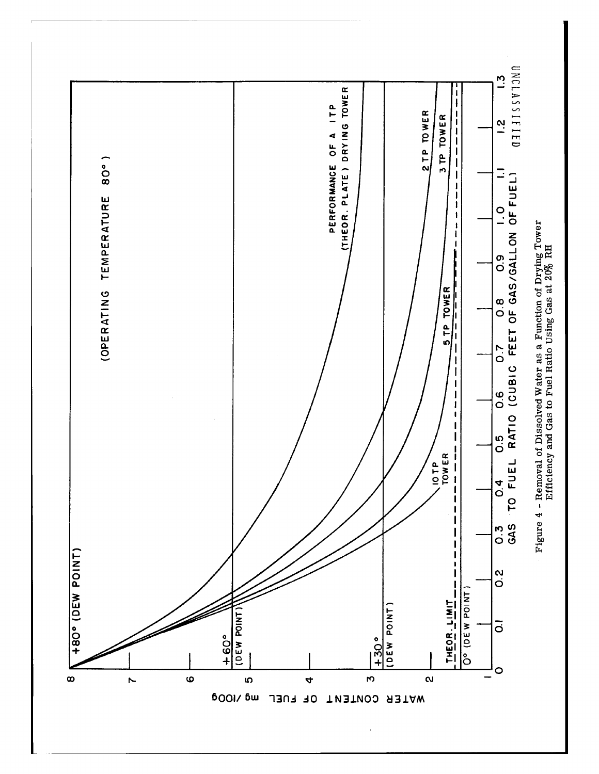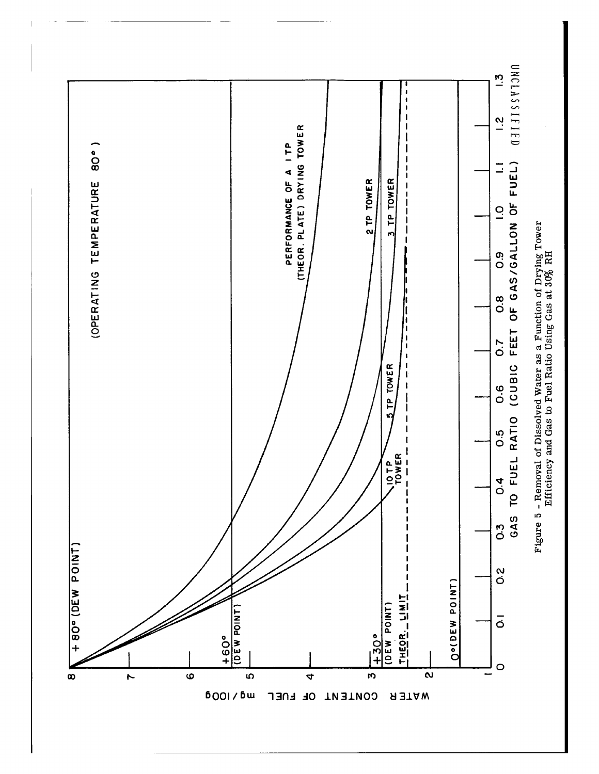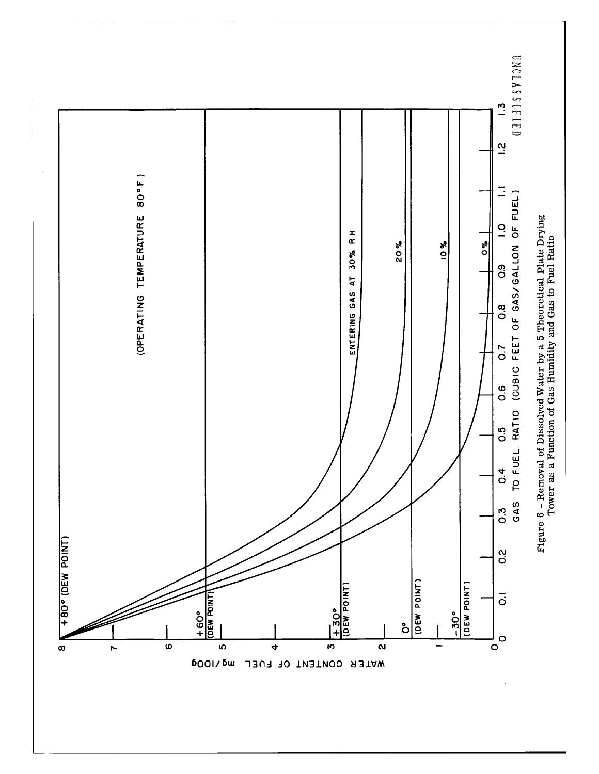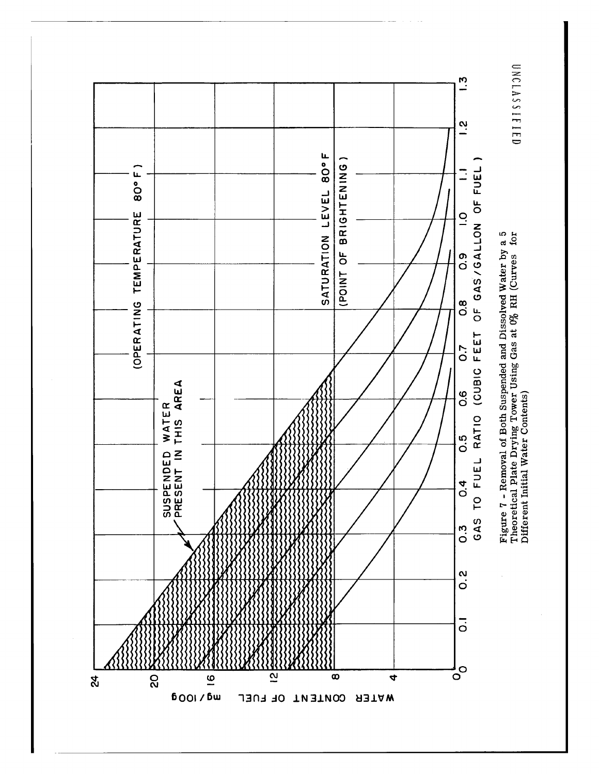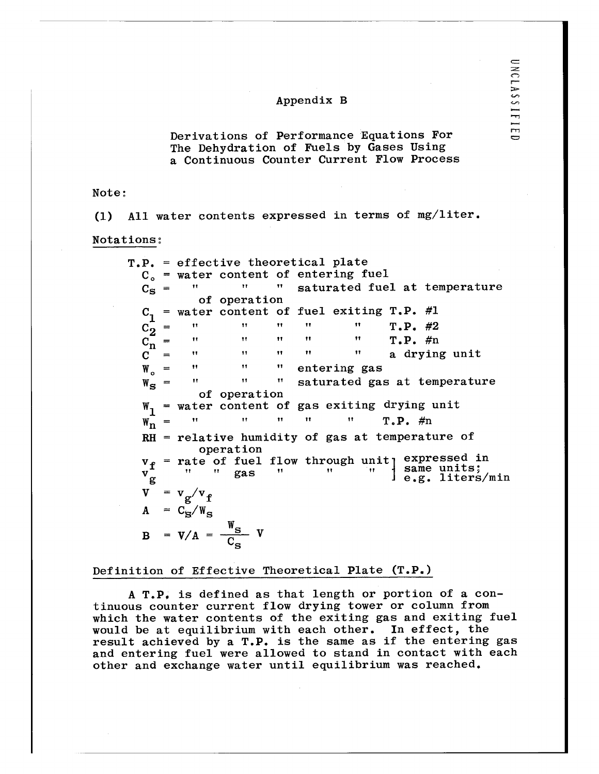Derivations of Performance Equations For The Dehydration of Fuels by Gases Using a Continuous Counter Current Flow Process

Note:

(1) All water contents expressed in terms of mg/liter.

Notations:

T.P. = effective theoretical plate  $C_o$  = water content of entering fuel<br> $C_o$  = " " saturated fue  $C_S$  =  $''$   $''$   $''$  saturated fuel at temperature of operation  $=$  water content of fuel exiting T.P. #1 C2 = **H** " I " **H** T.P. #2  $C_n$  = " " " T.P. #n  $C =$  "  $''$  " " a drying unit  $W_o$  =  $''$   $''$   $''$  entering gas W<sub>S</sub> = " " saturated gas at temperature of operation  $W_1$  = water content of gas exiting drying unit  $W_{\mathbf{n}}^{\mathbf{m}} = \begin{bmatrix} \mathbf{r} & \mathbf{r} & \mathbf{r} & \mathbf{r} \\ \mathbf{r} & \mathbf{r} & \mathbf{r} & \mathbf{r} \\ \mathbf{r} & \mathbf{r} & \mathbf{r} & \mathbf{r} \end{bmatrix}$ RH = relative humidity of gas at temperature of operation  $v_f$  = rate of fuel flow through unit expressed in vf g as .1same units; g  $\qquad \qquad$   $\qquad$   $\qquad$   $\qquad$   $\qquad$   $\qquad$   $\qquad$   $\qquad$   $\qquad$   $\qquad$   $\qquad$   $\qquad$   $\qquad$   $\qquad$   $\qquad$   $\qquad$   $\qquad$   $\qquad$   $\qquad$   $\qquad$   $\qquad$   $\qquad$   $\qquad$   $\qquad$   $\qquad$   $\qquad$   $\qquad$   $\qquad$   $\qquad$   $\qquad$   $\qquad$   $\qquad$   $\qquad$   $\qquad$   $\qquad$   $\qquad$   $v_g^T$ <br>  $v = v_g/v_f$  $A = C_S/W$  $B = V/A = \frac{S}{C_S} V$ 

### Definition of Effective Theoretical Plate (T.P.)

A T.P. is defined as that length or portion of a continuous counter current flow drying tower or column from which the water contents of the exiting gas and exiting fuel would be at equilibrium with each other. In effect, the result achieved by a T.P. is the same as if the entering gas and entering fuel were allowed to stand in contact with each other and exchange water until equilibrium was reached.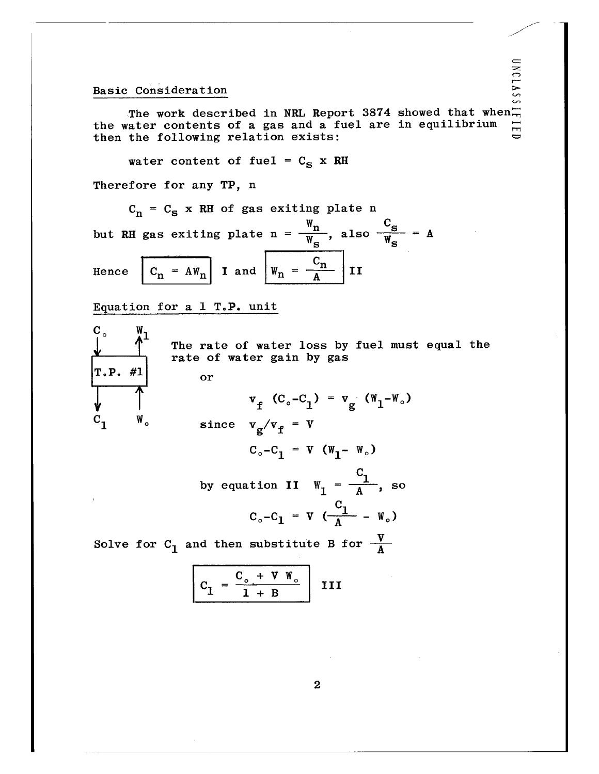## Basic Consideration

Consideration<br>The work described in NRL Report 3874 showed that when.<br>The following relation exists: the water contents of a gas and a fuel are in equilibrium then the following relation exists:

water content of fuel =  $C_S$  x RH

Therefore for any TP, n

 $C_n = C_S$  x RH of gas exiting plate n

 $w_{\mathbf{n}}$  c but RH gas exiting plate  $n = \frac{m}{w}$ , also  $\frac{m}{w} = A$ Hence  $C_n = AW_n$  I and  $W_n = \frac{C_n}{A}$  II

Equation for a  $1$  T.P. unit



The rate of water loss by fuel must equal the rate of water gain by gas

 $v_f$  (C<sub>o</sub>-C<sub>1</sub>) =  $v_g$  (W<sub>1</sub>-W<sub>o</sub>)

 $C_1$  W. since  $v_g/v_f = v$  $C_o - C_1 = V (W_1 - W_o)$ 

> $C_{1}$ by equation II  $W_1 = \frac{1}{4}$ , so C  $C_o - C_1 = V \left( \frac{1}{A} - W_o \right)$  $C_o - C_1 = V \left(\frac{C_1}{A} - W_o\right)$ <br>en substitute B for  $\frac{V}{A}$ <br> $\frac{C_o + V W_o}{1 + B}$  III

Solve for  $C_1$  and then substitute B for  $\frac{V}{A}$ 

$$
C_1 = \frac{C_o + V W_o}{1 + B} \quad \text{II}
$$

2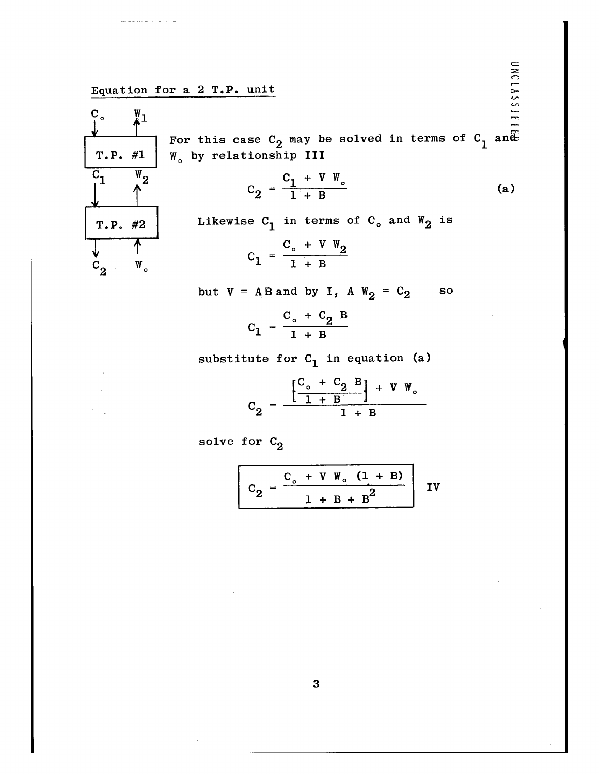Equation for a 2 T.P. unit



For this case  $\mathtt{C}_2$  may be solved in terms of  $\mathtt{C}_1$  and T.P.  $\#1$  | W<sub>o</sub> by relationship III

$$
C_2 = \frac{C_1 + V W_o}{1 + B}
$$
 (a)

T.P. #2 Likewise  $C_1$  in terms of  $C_0$  and  $W_2$  is

$$
C_1 = \frac{C_o + V W_2}{1 + B}
$$

but  $V = A B$  and by  $I, A W_2 = C_2$  so

$$
C_1 = \frac{C_o + C_2 B}{1 + B}
$$

substitute for  $C_1$  in equation (a)

$$
C_2 = \frac{\left[\frac{C_o + C_2 B}{1 + B}\right] + V W_o}{1 + B}
$$

solve for  $C_2$ 

$$
C_2 = \frac{C_o + V W_o (1 + B)}{1 + B + B^2}
$$
IV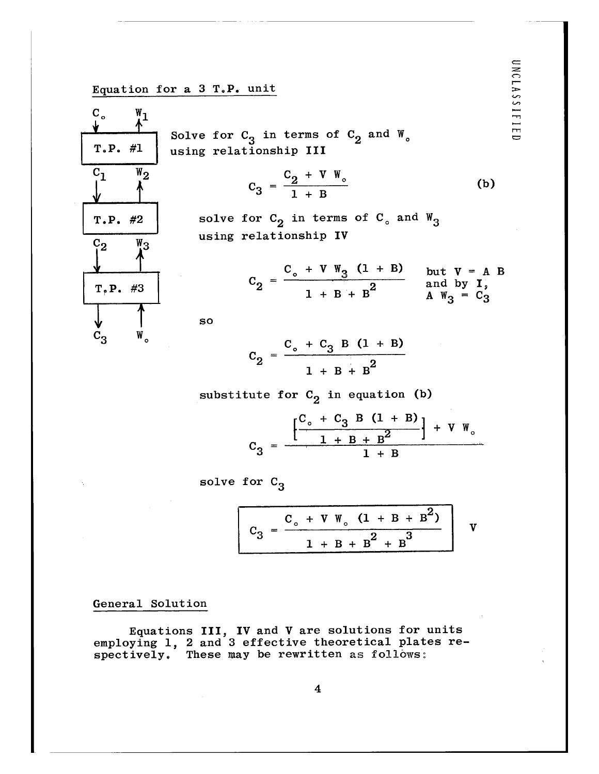# Equation for a  $3$  T.P. unit



Solve for  $C_3$  in terms of  $C_2$  and  $W_5$ using relationship III

$$
C_3 = \frac{C_2 + V W_o}{1 + B}
$$
 (b)

solve for  $C_2$  in terms of  $C_3$  and  $W_3$ using relationship IV

$$
C_2 = \frac{C_o + V W_3 (1 + B)}{1 + B + B^2}
$$
 but  $V = A B$   
and by I,  
 $A W_3 = C_3$ 

so

$$
C_2 = \frac{C_o + C_3 B (1 + B)}{1 + B + B^2}
$$

substitute for  $C_2$  in equation (b)

$$
C_3 = \frac{\left[\frac{C_o + C_3 B (1 + B)}{1 + B + B^2}\right] + V W_o}{1 + B}
$$

solve for  $C_3$ 

$$
C_3 = \frac{C_o + V W_o (1 + B + B^2)}{1 + B + B^2 + B^3}
$$

## General Solution

Equations III, IV and V are solutions for units employing 1, 2 and 3 effective theoretical plates respectively. These may be rewritten as follows: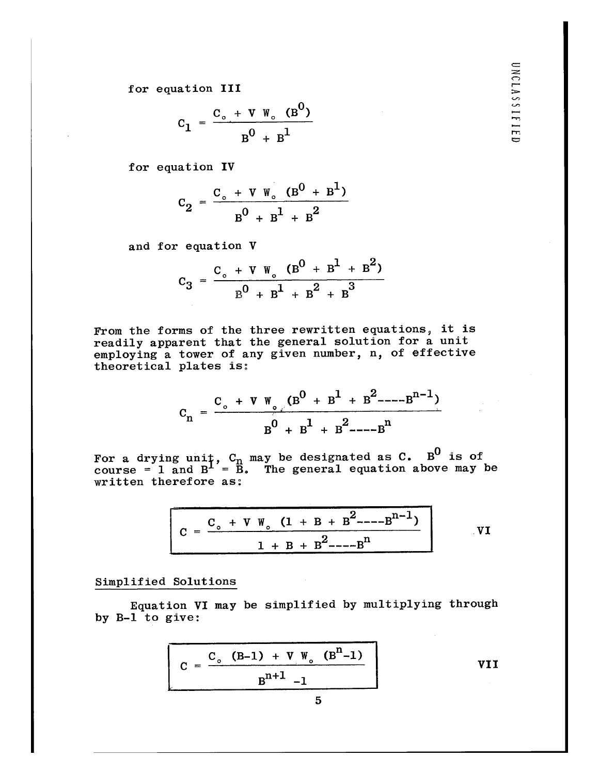UNCLASSIFIED

for equation III

$$
C_1 = \frac{C_o + V W_o (B^0)}{B^0 + B^1}
$$

for equation IV

$$
C_2 = \frac{C_o + V W_o (B^0 + B^1)}{B^0 + B^1 + B^2}
$$

and for equation V

$$
C_3 = \frac{C_o + V W_o (B^0 + B^1 + B^2)}{B^0 + B^1 + B^2 + B^3}
$$

From the forms of the three rewritten equations, it is readily apparent that the general solution for a unit employing a tower of any given number, n, of effective theoretical plates is:

$$
C_n = \frac{C_o + V W_o (B^0 + B^1 + B^2 - -B^{n-1})}{B^0 + B^1 + B^2 - -B^n}
$$

For a drying unit,  $C_n$  may be designated as  $C$ . B<sup>0</sup> is of course = 1 and  $B^{\perp'} = \overrightarrow{B}$ . The general equation above may be written therefore as:

$$
C = \frac{C_o + V W_o (1 + B + B^2 --- B^{n-1})}{1 + B + B^2 --- B^n}
$$
VI

Simplified Solutions

Equation VI may be simplified by multiplying through by B-1 to give:

$$
C = \frac{C_o (B-1) + V W_o (Bn-1)}{Bn+1 - 1}
$$
 VII